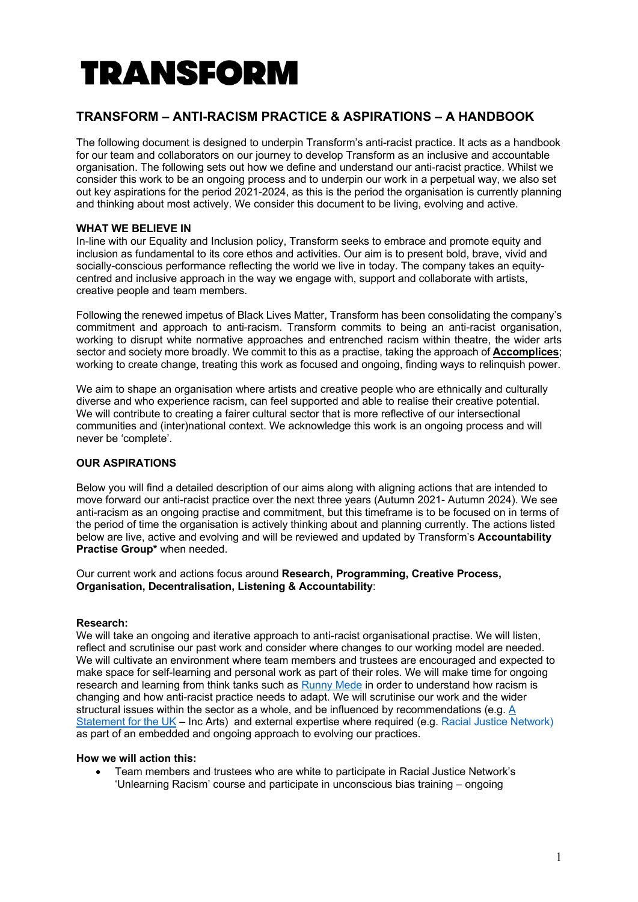# **TRANSFORM**

## **TRANSFORM – ANTI-RACISM PRACTICE & ASPIRATIONS – A HANDBOOK**

The following document is designed to underpin Transform's anti-racist practice. It acts as a handbook for our team and collaborators on our journey to develop Transform as an inclusive and accountable organisation. The following sets out how we define and understand our anti-racist practice. Whilst we consider this work to be an ongoing process and to underpin our work in a perpetual way, we also set out key aspirations for the period 2021-2024, as this is the period the organisation is currently planning and thinking about most actively. We consider this document to be living, evolving and active.

### **WHAT WE BELIEVE IN**

In-line with our Equality and Inclusion policy, Transform seeks to embrace and promote equity and inclusion as fundamental to its core ethos and activities. Our aim is to present bold, brave, vivid and socially-conscious performance reflecting the world we live in today. The company takes an equitycentred and inclusive approach in the way we engage with, support and collaborate with artists, creative people and team members.

Following the renewed impetus of Black Lives Matter, Transform has been consolidating the company's commitment and approach to anti-racism. Transform commits to being an anti-racist organisation, working to disrupt white normative approaches and entrenched racism within theatre, the wider arts sector and society more broadly. We commit to this as a practise, taking the approach of **Accomplices**; working to create change, treating this work as focused and ongoing, finding ways to relinquish power.

We aim to shape an organisation where artists and creative people who are ethnically and culturally diverse and who experience racism, can feel supported and able to realise their creative potential. We will contribute to creating a fairer cultural sector that is more reflective of our intersectional communities and (inter)national context. We acknowledge this work is an ongoing process and will never be 'complete'.

### **OUR ASPIRATIONS**

Below you will find a detailed description of our aims along with aligning actions that are intended to move forward our anti-racist practice over the next three years (Autumn 2021- Autumn 2024). We see anti-racism as an ongoing practise and commitment, but this timeframe is to be focused on in terms of the period of time the organisation is actively thinking about and planning currently. The actions listed below are live, active and evolving and will be reviewed and updated by Transform's **Accountability Practise Group\*** when needed.

Our current work and actions focus around **Research, Programming, Creative Process, Organisation, Decentralisation, Listening & Accountability**:

#### **Research:**

We will take an ongoing and iterative approach to anti-racist organisational practise. We will listen, reflect and scrutinise our past work and consider where changes to our working model are needed. We will cultivate an environment where team members and trustees are encouraged and expected to make space for self-learning and personal work as part of their roles. We will make time for ongoing research and learning from think tanks such as Runny Mede in order to understand how racism is changing and how anti-racist practice needs to adapt. We will scrutinise our work and the wider structural issues within the sector as a whole, and be influenced by recommendations (e.g. A Statement for the UK – Inc Arts) and external expertise where required (e.g. Racial Justice Network) as part of an embedded and ongoing approach to evolving our practices.

#### **How we will action this:**

• Team members and trustees who are white to participate in Racial Justice Network's 'Unlearning Racism' course and participate in unconscious bias training – ongoing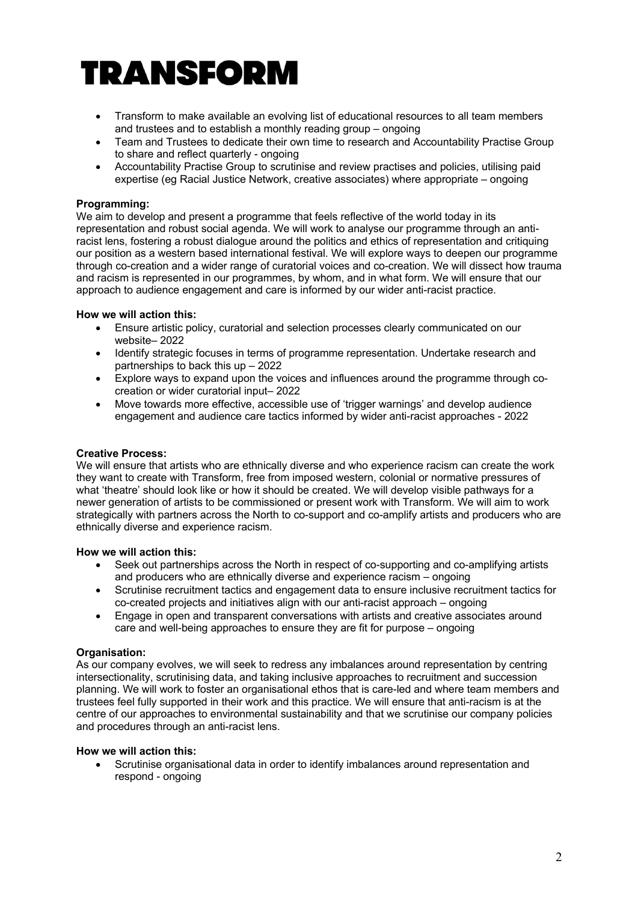# **TRANSFORM**

- Transform to make available an evolving list of educational resources to all team members and trustees and to establish a monthly reading group – ongoing
- Team and Trustees to dedicate their own time to research and Accountability Practise Group to share and reflect quarterly - ongoing
- Accountability Practise Group to scrutinise and review practises and policies, utilising paid expertise (eg Racial Justice Network, creative associates) where appropriate – ongoing

#### **Programming:**

We aim to develop and present a programme that feels reflective of the world today in its representation and robust social agenda. We will work to analyse our programme through an antiracist lens, fostering a robust dialogue around the politics and ethics of representation and critiquing our position as a western based international festival. We will explore ways to deepen our programme through co-creation and a wider range of curatorial voices and co-creation. We will dissect how trauma and racism is represented in our programmes, by whom, and in what form. We will ensure that our approach to audience engagement and care is informed by our wider anti-racist practice.

#### **How we will action this:**

- Ensure artistic policy, curatorial and selection processes clearly communicated on our website– 2022
- Identify strategic focuses in terms of programme representation. Undertake research and partnerships to back this up – 2022
- Explore ways to expand upon the voices and influences around the programme through cocreation or wider curatorial input– 2022
- Move towards more effective, accessible use of 'trigger warnings' and develop audience engagement and audience care tactics informed by wider anti-racist approaches - 2022

#### **Creative Process:**

We will ensure that artists who are ethnically diverse and who experience racism can create the work they want to create with Transform, free from imposed western, colonial or normative pressures of what 'theatre' should look like or how it should be created. We will develop visible pathways for a newer generation of artists to be commissioned or present work with Transform. We will aim to work strategically with partners across the North to co-support and co-amplify artists and producers who are ethnically diverse and experience racism.

#### **How we will action this:**

- Seek out partnerships across the North in respect of co-supporting and co-amplifying artists and producers who are ethnically diverse and experience racism – ongoing
- Scrutinise recruitment tactics and engagement data to ensure inclusive recruitment tactics for co-created projects and initiatives align with our anti-racist approach – ongoing
- Engage in open and transparent conversations with artists and creative associates around care and well-being approaches to ensure they are fit for purpose – ongoing

#### **Organisation:**

As our company evolves, we will seek to redress any imbalances around representation by centring intersectionality, scrutinising data, and taking inclusive approaches to recruitment and succession planning. We will work to foster an organisational ethos that is care-led and where team members and trustees feel fully supported in their work and this practice. We will ensure that anti-racism is at the centre of our approaches to environmental sustainability and that we scrutinise our company policies and procedures through an anti-racist lens.

#### **How we will action this:**

• Scrutinise organisational data in order to identify imbalances around representation and respond - ongoing